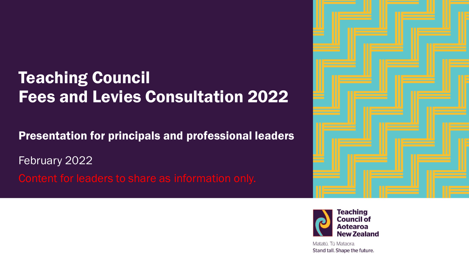#### **Teaching Council** Fees and Levies Consultation 2022

Presentation for principals and professional leaders

February 2022 Content for leaders to share as information only.





Matatū. Tū Mataora. Stand tall. Shape the future.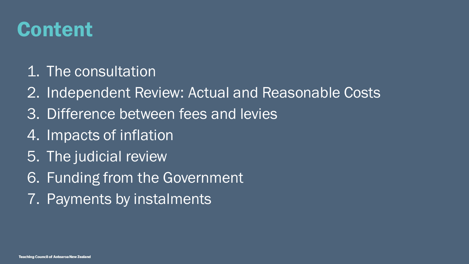### Content

- 1. The consultation
- 2. Independent Review: Actual and Reasonable Costs
- 3. Difference between fees and levies
- 4. Impacts of inflation
- 5. The judicial review
- 6. Funding from the Government
- 7. Payments by instalments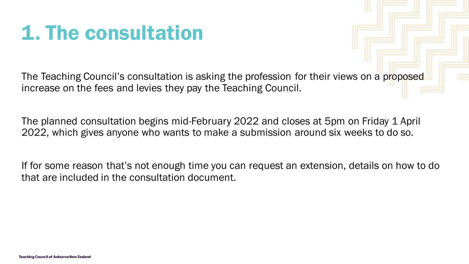## 1. The consultation

The Teaching Council's consultation is asking the profession for their views on a proposed increase on the fees and levies they pay the Teaching Council.

The planned consultation begins mid-February 2022 and closes at 5pm on Friday 1 April 2022, which gives anyone who wants to make a submission around six weeks to do so.

If for some reason that's not enough time you can request an extension, details on how to do that are included in the consultation document.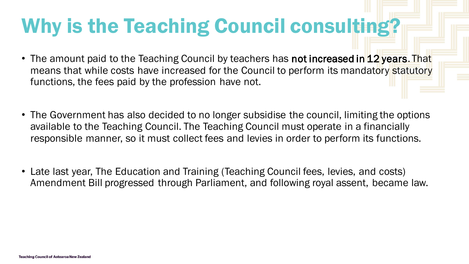# Why is the Teaching Council consulting?

- The amount paid to the Teaching Council by teachers has not increased in 12 years. That means that while costs have increased for the Council to perform its mandatory statutory functions, the fees paid by the profession have not.
- The Government has also decided to no longer subsidise the council, limiting the options available to the Teaching Council. The Teaching Council must operate in a financially responsible manner, so it must collect fees and levies in order to perform its functions.
- Late last year, The Education and Training (Teaching Council fees, levies, and costs) Amendment Bill progressed through Parliament, and following royal assent, became law.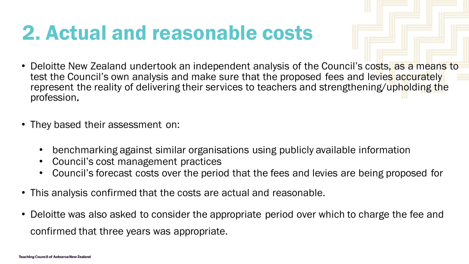### 2. Actual and reasonable costs

- Deloitte New Zealand undertook an independent analysis of the Council's costs, as a means to test the Council's own analysis and make sure that the proposed fees and levies accurately represent the reality of delivering their services to teachers and strengthening/upholding the profession.
- They based their assessment on:
	- benchmarking against similar organisations using publicly available information
	- Council's cost management practices
	- Council's forecast costs over the period that the fees and levies are being proposed for
- This analysis confirmed that the costs are actual and reasonable.
- Deloitte was also asked to consider the appropriate period over which to charge the fee and confirmed that three years was appropriate.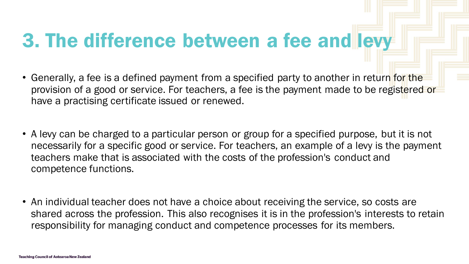## 3. The difference between a fee and levy

- Generally, a fee is a defined payment from a specified party to another in return for the provision of a good or service. For teachers, a fee is the payment made to be registered or have a practising certificate issued or renewed.
- A levy can be charged to a particular person or group for a specified purpose, but it is not necessarily for a specific good or service. For teachers, an example of a levy is the payment teachers make that is associated with the costs of the profession's conduct and competence functions.
- An individual teacher does not have a choice about receiving the service, so costs are shared across the profession. This also recognises it is in the profession's interests to retain responsibility for managing conduct and competence processes for its members.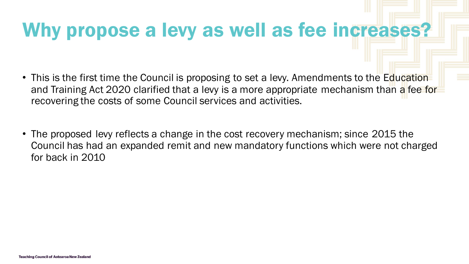#### Why propose a levy as well as fee increases?

- This is the first time the Council is proposing to set a levy. Amendments to the Education and Training Act 2020 clarified that a levy is a more appropriate mechanism than a fee for recovering the costs of some Council services and activities.
- The proposed levy reflects a change in the cost recovery mechanism; since 2015 the Council has had an expanded remit and new mandatory functions which were not charged for back in 2010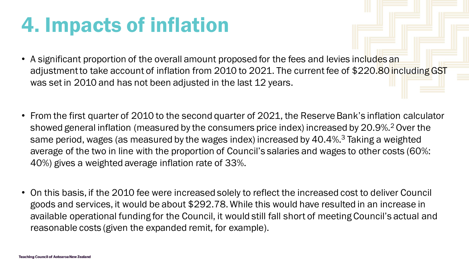## 4. Impacts of inflation

- A significant proportion of the overall amount proposed for the fees and levies includes an adjustment to take account of inflation from 2010 to 2021. The current fee of \$220.80 including GST was set in 2010 and has not been adjusted in the last 12 years.
- From the first quarter of 2010 to the second quarter of 2021, the Reserve Bank's inflation calculator showed general inflation (measured by the consumers price index) increased by 20.9%.<sup>2</sup> Over the same period, wages (as measured by the wages index) increased by 40.4%.<sup>3</sup> Taking a weighted average of the two in line with the proportion of Council's salaries and wages to other costs (60%: 40%) gives a weighted average inflation rate of 33%.
- On this basis, if the 2010 fee were increased solely to reflect the increased cost to deliver Council goods and services, it would be about \$292.78. While this would have resulted in an increase in available operational funding for the Council, it would still fall short of meeting Council's actual and reasonable costs (given the expanded remit, for example).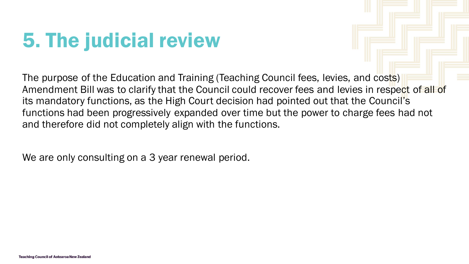# 5. The judicial review

The purpose of the Education and Training (Teaching Council fees, levies, and costs) Amendment Bill was to clarify that the Council could recover fees and levies in respect of all of its mandatory functions, as the High Court decision had pointed out that the Council's functions had been progressively expanded over time but the power to charge fees had not and therefore did not completely align with the functions.

We are only consulting on a 3 year renewal period.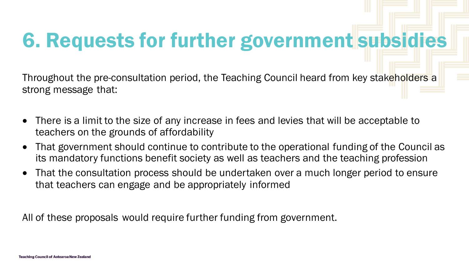# 6. Requests for further government subsidies

Throughout the pre-consultation period, the Teaching Council heard from key stakeholders a strong message that:

- There is a limit to the size of any increase in fees and levies that will be acceptable to teachers on the grounds of affordability
- That government should continue to contribute to the operational funding of the Council as its mandatory functions benefit society as well as teachers and the teaching profession
- That the consultation process should be undertaken over a much longer period to ensure that teachers can engage and be appropriately informed

All of these proposals would require further funding from government.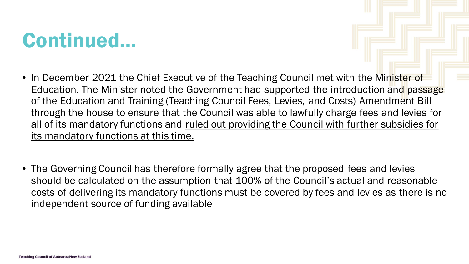#### Continued…

- In December 2021 the Chief Executive of the Teaching Council met with the Minister of Education. The Minister noted the Government had supported the introduction and passage of the Education and Training (Teaching Council Fees, Levies, and Costs) Amendment Bill through the house to ensure that the Council was able to lawfully charge fees and levies for all of its mandatory functions and ruled out providing the Council with further subsidies for its mandatory functions at this time.
- The Governing Council has therefore formally agree that the proposed fees and levies should be calculated on the assumption that 100% of the Council's actual and reasonable costs of delivering its mandatory functions must be covered by fees and levies as there is no independent source of funding available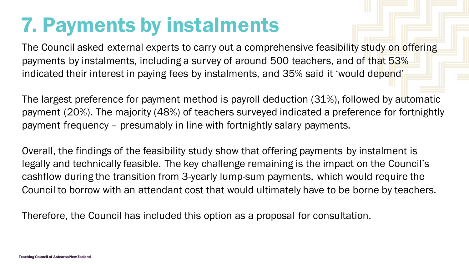## 7. Payments by instalments

The Council asked external experts to carry out a comprehensive feasibility study on offering payments by instalments, including a survey of around 500 teachers, and of that 53% indicated their interest in paying fees by instalments, and 35% said it 'would depend'

The largest preference for payment method is payroll deduction (31%), followed by automatic payment (20%). The majority (48%) of teachers surveyed indicated a preference for fortnightly payment frequency – presumably in line with fortnightly salary payments.

Overall, the findings of the feasibility study show that offering payments by instalment is legally and technically feasible. The key challenge remaining is the impact on the Council's cashflow during the transition from 3-yearly lump-sum payments, which would require the Council to borrow with an attendant cost that would ultimately have to be borne by teachers.

Therefore, the Council has included this option as a proposal for consultation.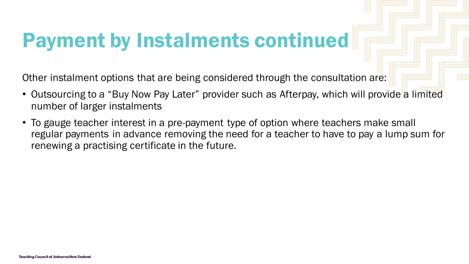## Payment by Instalments continued

Other instalment options that are being considered through the consultation are:

- Outsourcing to a "Buy Now Pay Later" provider such as Afterpay, which will provide a limited number of larger instalments
- To gauge teacher interest in a pre-payment type of option where teachers make small regular payments in advance removing the need for a teacher to have to pay a lump sum for renewing a practising certificate in the future.